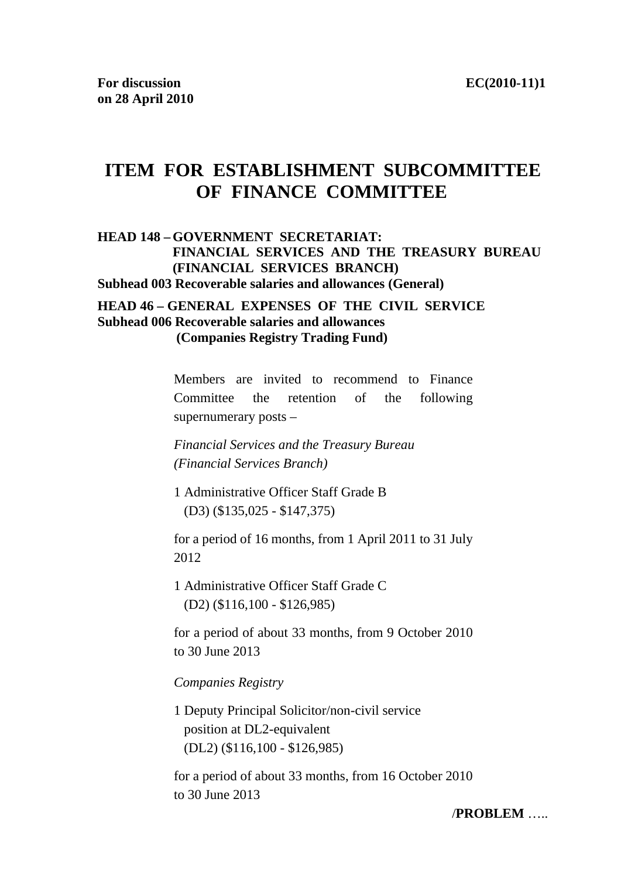# **ITEM FOR ESTABLISHMENT SUBCOMMITTEE OF FINANCE COMMITTEE**

### **HEAD 148 – GOVERNMENT SECRETARIAT: FINANCIAL SERVICES AND THE TREASURY BUREAU (FINANCIAL SERVICES BRANCH) Subhead 003 Recoverable salaries and allowances (General)**

#### **HEAD 46 – GENERAL EXPENSES OF THE CIVIL SERVICE Subhead 006 Recoverable salaries and allowances (Companies Registry Trading Fund)**

Members are invited to recommend to Finance Committee the retention of the following supernumerary posts –

*Financial Services and the Treasury Bureau (Financial Services Branch)* 

1 Administrative Officer Staff Grade B (D3) (\$135,025 - \$147,375)

for a period of 16 months, from 1 April 2011 to 31 July 2012

1 Administrative Officer Staff Grade C (D2) (\$116,100 - \$126,985)

for a period of about 33 months, from 9 October 2010 to 30 June 2013

*Companies Registry* 

1 Deputy Principal Solicitor/non-civil service position at DL2-equivalent (DL2) (\$116,100 - \$126,985)

for a period of about 33 months, from 16 October 2010 to 30 June 2013

/**PROBLEM** …..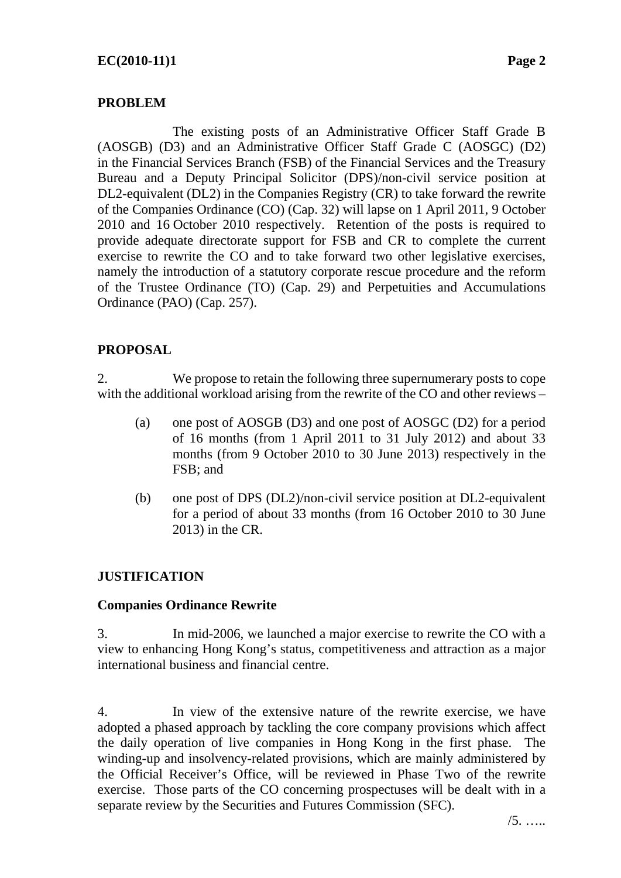### **PROBLEM**

 The existing posts of an Administrative Officer Staff Grade B (AOSGB) (D3) and an Administrative Officer Staff Grade C (AOSGC) (D2) in the Financial Services Branch (FSB) of the Financial Services and the Treasury Bureau and a Deputy Principal Solicitor (DPS)/non-civil service position at DL2-equivalent (DL2) in the Companies Registry (CR) to take forward the rewrite of the Companies Ordinance (CO) (Cap. 32) will lapse on 1 April 2011, 9 October 2010 and 16 October 2010 respectively. Retention of the posts is required to provide adequate directorate support for FSB and CR to complete the current exercise to rewrite the CO and to take forward two other legislative exercises, namely the introduction of a statutory corporate rescue procedure and the reform of the Trustee Ordinance (TO) (Cap. 29) and Perpetuities and Accumulations Ordinance (PAO) (Cap. 257).

### **PROPOSAL**

2. We propose to retain the following three supernumerary posts to cope with the additional workload arising from the rewrite of the CO and other reviews –

- (a) one post of AOSGB (D3) and one post of AOSGC (D2) for a period of 16 months (from 1 April 2011 to 31 July 2012) and about 33 months (from 9 October 2010 to 30 June 2013) respectively in the FSB; and
- (b) one post of DPS (DL2)/non-civil service position at DL2-equivalent for a period of about 33 months (from 16 October 2010 to 30 June 2013) in the CR.

### **JUSTIFICATION**

### **Companies Ordinance Rewrite**

3. In mid-2006, we launched a major exercise to rewrite the CO with a view to enhancing Hong Kong's status, competitiveness and attraction as a major international business and financial centre.

4. In view of the extensive nature of the rewrite exercise, we have adopted a phased approach by tackling the core company provisions which affect the daily operation of live companies in Hong Kong in the first phase. The winding-up and insolvency-related provisions, which are mainly administered by the Official Receiver's Office, will be reviewed in Phase Two of the rewrite exercise. Those parts of the CO concerning prospectuses will be dealt with in a separate review by the Securities and Futures Commission (SFC).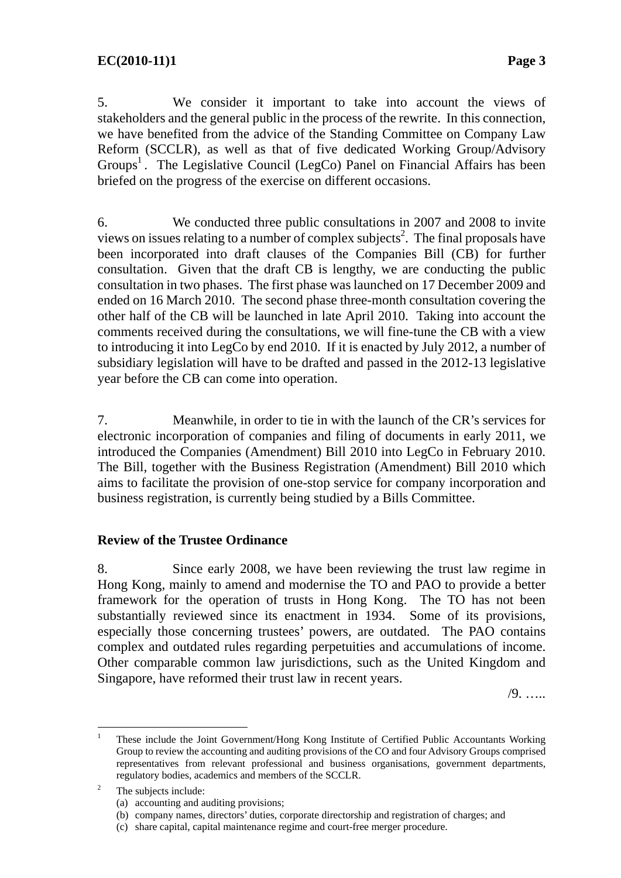5. We consider it important to take into account the views of stakeholders and the general public in the process of the rewrite. In this connection, we have benefited from the advice of the Standing Committee on Company Law Reform (SCCLR), as well as that of five dedicated Working Group/Advisory Groups<sup>1</sup>. The Legislative Council (LegCo) Panel on Financial Affairs has been briefed on the progress of the exercise on different occasions.

6. We conducted three public consultations in 2007 and 2008 to invite views on issues relating to a number of complex subjects<sup>2</sup>. The final proposals have been incorporated into draft clauses of the Companies Bill (CB) for further consultation. Given that the draft CB is lengthy, we are conducting the public consultation in two phases. The first phase was launched on 17 December 2009 and ended on 16 March 2010. The second phase three-month consultation covering the other half of the CB will be launched in late April 2010. Taking into account the comments received during the consultations, we will fine-tune the CB with a view to introducing it into LegCo by end 2010. If it is enacted by July 2012, a number of subsidiary legislation will have to be drafted and passed in the 2012-13 legislative year before the CB can come into operation.

7. Meanwhile, in order to tie in with the launch of the CR's services for electronic incorporation of companies and filing of documents in early 2011, we introduced the Companies (Amendment) Bill 2010 into LegCo in February 2010. The Bill, together with the Business Registration (Amendment) Bill 2010 which aims to facilitate the provision of one-stop service for company incorporation and business registration, is currently being studied by a Bills Committee.

### **Review of the Trustee Ordinance**

8. Since early 2008, we have been reviewing the trust law regime in Hong Kong, mainly to amend and modernise the TO and PAO to provide a better framework for the operation of trusts in Hong Kong. The TO has not been substantially reviewed since its enactment in 1934. Some of its provisions, especially those concerning trustees' powers, are outdated. The PAO contains complex and outdated rules regarding perpetuities and accumulations of income. Other comparable common law jurisdictions, such as the United Kingdom and Singapore, have reformed their trust law in recent years.

/9. …..

 $\frac{1}{1}$  These include the Joint Government/Hong Kong Institute of Certified Public Accountants Working Group to review the accounting and auditing provisions of the CO and four Advisory Groups comprised representatives from relevant professional and business organisations, government departments, regulatory bodies, academics and members of the SCCLR.

<sup>2</sup> The subjects include:

<sup>(</sup>a) accounting and auditing provisions;

<sup>(</sup>b) company names, directors' duties, corporate directorship and registration of charges; and

<sup>(</sup>c) share capital, capital maintenance regime and court-free merger procedure.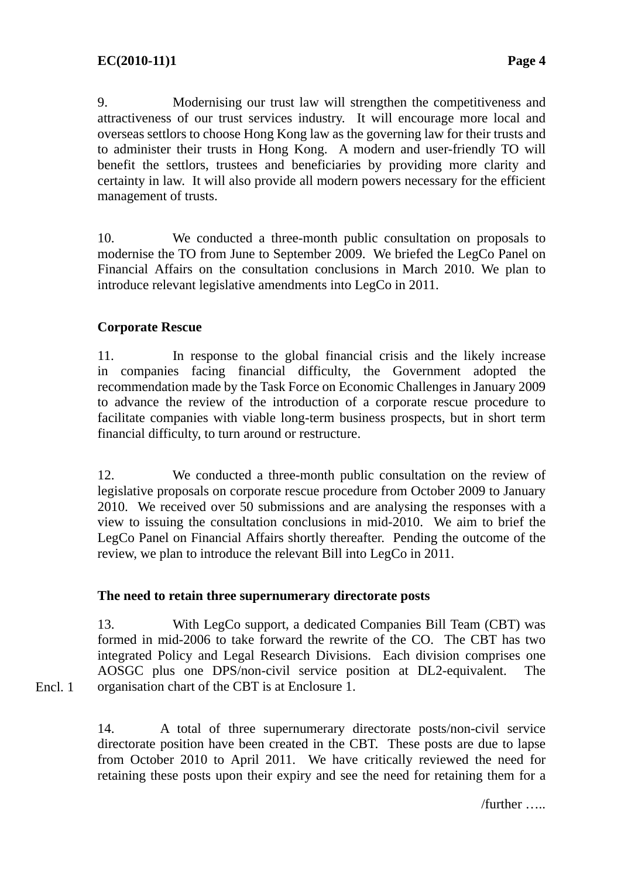9. Modernising our trust law will strengthen the competitiveness and attractiveness of our trust services industry. It will encourage more local and overseas settlors to choose Hong Kong law as the governing law for their trusts and to administer their trusts in Hong Kong. A modern and user-friendly TO will benefit the settlors, trustees and beneficiaries by providing more clarity and certainty in law. It will also provide all modern powers necessary for the efficient management of trusts.

10. We conducted a three-month public consultation on proposals to modernise the TO from June to September 2009. We briefed the LegCo Panel on Financial Affairs on the consultation conclusions in March 2010. We plan to introduce relevant legislative amendments into LegCo in 2011.

### **Corporate Rescue**

Encl. 1

11. In response to the global financial crisis and the likely increase in companies facing financial difficulty, the Government adopted the recommendation made by the Task Force on Economic Challenges in January 2009 to advance the review of the introduction of a corporate rescue procedure to facilitate companies with viable long-term business prospects, but in short term financial difficulty, to turn around or restructure.

12. We conducted a three-month public consultation on the review of legislative proposals on corporate rescue procedure from October 2009 to January 2010. We received over 50 submissions and are analysing the responses with a view to issuing the consultation conclusions in mid-2010. We aim to brief the LegCo Panel on Financial Affairs shortly thereafter. Pending the outcome of the review, we plan to introduce the relevant Bill into LegCo in 2011.

### **The need to retain three supernumerary directorate posts**

13. With LegCo support, a dedicated Companies Bill Team (CBT) was formed in mid-2006 to take forward the rewrite of the CO. The CBT has two integrated Policy and Legal Research Divisions. Each division comprises one AOSGC plus one DPS/non-civil service position at DL2-equivalent. The organisation chart of the CBT is at Enclosure 1.

14. A total of three supernumerary directorate posts/non-civil service directorate position have been created in the CBT. These posts are due to lapse from October 2010 to April 2011. We have critically reviewed the need for retaining these posts upon their expiry and see the need for retaining them for a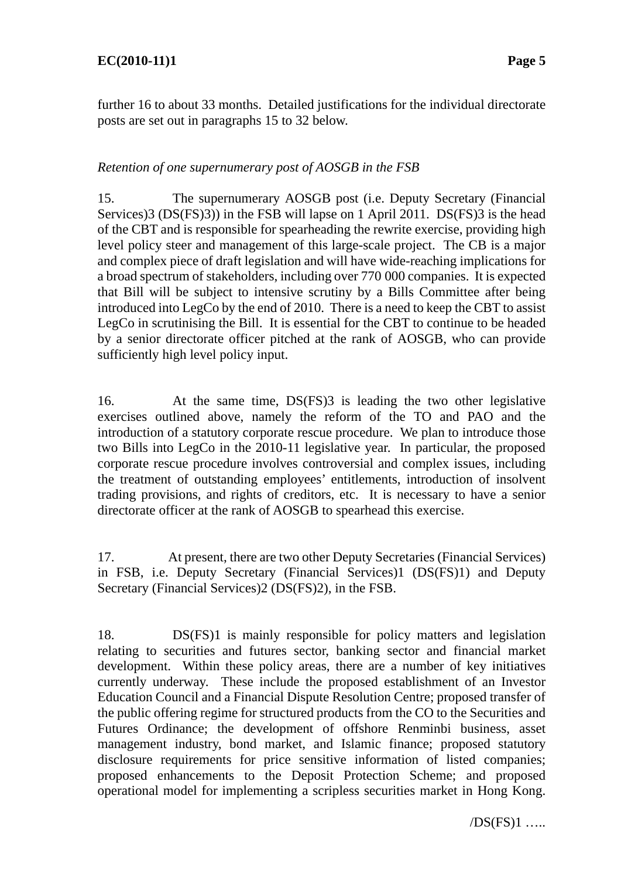further 16 to about 33 months. Detailed justifications for the individual directorate posts are set out in paragraphs 15 to 32 below.

### *Retention of one supernumerary post of AOSGB in the FSB*

15. The supernumerary AOSGB post (i.e. Deputy Secretary (Financial Services)3 (DS(FS)3)) in the FSB will lapse on 1 April 2011. DS(FS)3 is the head of the CBT and is responsible for spearheading the rewrite exercise, providing high level policy steer and management of this large-scale project. The CB is a major and complex piece of draft legislation and will have wide-reaching implications for a broad spectrum of stakeholders, including over 770 000 companies. It is expected that Bill will be subject to intensive scrutiny by a Bills Committee after being introduced into LegCo by the end of 2010. There is a need to keep the CBT to assist LegCo in scrutinising the Bill. It is essential for the CBT to continue to be headed by a senior directorate officer pitched at the rank of AOSGB, who can provide sufficiently high level policy input.

16. At the same time, DS(FS)3 is leading the two other legislative exercises outlined above, namely the reform of the TO and PAO and the introduction of a statutory corporate rescue procedure. We plan to introduce those two Bills into LegCo in the 2010-11 legislative year. In particular, the proposed corporate rescue procedure involves controversial and complex issues, including the treatment of outstanding employees' entitlements, introduction of insolvent trading provisions, and rights of creditors, etc. It is necessary to have a senior directorate officer at the rank of AOSGB to spearhead this exercise.

17. At present, there are two other Deputy Secretaries (Financial Services) in FSB, i.e. Deputy Secretary (Financial Services)1 (DS(FS)1) and Deputy Secretary (Financial Services)2 (DS(FS)2), in the FSB.

18. DS(FS)1 is mainly responsible for policy matters and legislation relating to securities and futures sector, banking sector and financial market development. Within these policy areas, there are a number of key initiatives currently underway. These include the proposed establishment of an Investor Education Council and a Financial Dispute Resolution Centre; proposed transfer of the public offering regime for structured products from the CO to the Securities and Futures Ordinance; the development of offshore Renminbi business, asset management industry, bond market, and Islamic finance; proposed statutory disclosure requirements for price sensitive information of listed companies; proposed enhancements to the Deposit Protection Scheme; and proposed operational model for implementing a scripless securities market in Hong Kong.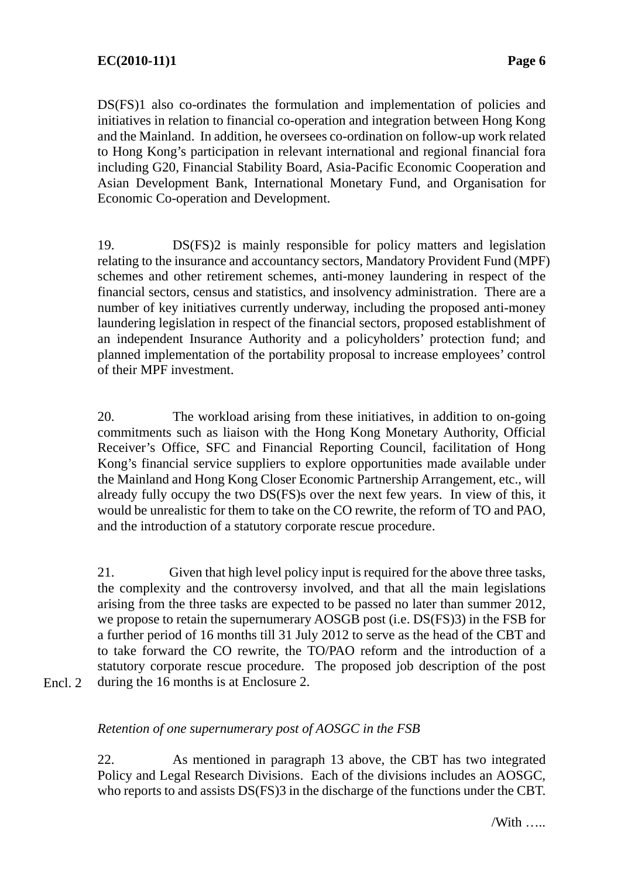DS(FS)1 also co-ordinates the formulation and implementation of policies and initiatives in relation to financial co-operation and integration between Hong Kong and the Mainland. In addition, he oversees co-ordination on follow-up work related to Hong Kong's participation in relevant international and regional financial fora including G20, Financial Stability Board, Asia-Pacific Economic Cooperation and Asian Development Bank, International Monetary Fund, and Organisation for Economic Co-operation and Development.

19. DS(FS)2 is mainly responsible for policy matters and legislation relating to the insurance and accountancy sectors, Mandatory Provident Fund (MPF) schemes and other retirement schemes, anti-money laundering in respect of the financial sectors, census and statistics, and insolvency administration. There are a number of key initiatives currently underway, including the proposed anti-money laundering legislation in respect of the financial sectors, proposed establishment of an independent Insurance Authority and a policyholders' protection fund; and planned implementation of the portability proposal to increase employees' control of their MPF investment.

20. The workload arising from these initiatives, in addition to on-going commitments such as liaison with the Hong Kong Monetary Authority, Official Receiver's Office, SFC and Financial Reporting Council, facilitation of Hong Kong's financial service suppliers to explore opportunities made available under the Mainland and Hong Kong Closer Economic Partnership Arrangement, etc., will already fully occupy the two DS(FS)s over the next few years. In view of this, it would be unrealistic for them to take on the CO rewrite, the reform of TO and PAO, and the introduction of a statutory corporate rescue procedure.

21. Given that high level policy input is required for the above three tasks, the complexity and the controversy involved, and that all the main legislations arising from the three tasks are expected to be passed no later than summer 2012, we propose to retain the supernumerary AOSGB post (i.e. DS(FS)3) in the FSB for a further period of 16 months till 31 July 2012 to serve as the head of the CBT and to take forward the CO rewrite, the TO/PAO reform and the introduction of a statutory corporate rescue procedure. The proposed job description of the post during the 16 months is at Enclosure 2.

Encl. 2

### *Retention of one supernumerary post of AOSGC in the FSB*

22. As mentioned in paragraph 13 above, the CBT has two integrated Policy and Legal Research Divisions. Each of the divisions includes an AOSGC, who reports to and assists DS(FS)3 in the discharge of the functions under the CBT.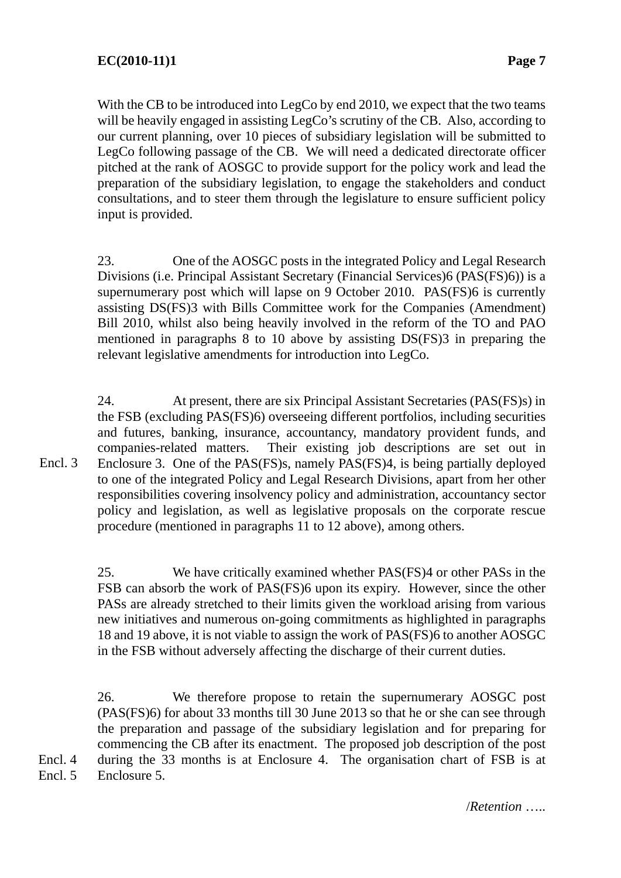With the CB to be introduced into LegCo by end 2010, we expect that the two teams will be heavily engaged in assisting LegCo's scrutiny of the CB. Also, according to our current planning, over 10 pieces of subsidiary legislation will be submitted to LegCo following passage of the CB. We will need a dedicated directorate officer pitched at the rank of AOSGC to provide support for the policy work and lead the preparation of the subsidiary legislation, to engage the stakeholders and conduct consultations, and to steer them through the legislature to ensure sufficient policy input is provided.

23. One of the AOSGC posts in the integrated Policy and Legal Research Divisions (i.e. Principal Assistant Secretary (Financial Services)6 (PAS(FS)6)) is a supernumerary post which will lapse on 9 October 2010. PAS(FS)6 is currently assisting DS(FS)3 with Bills Committee work for the Companies (Amendment) Bill 2010, whilst also being heavily involved in the reform of the TO and PAO mentioned in paragraphs 8 to 10 above by assisting DS(FS)3 in preparing the relevant legislative amendments for introduction into LegCo.

24. At present, there are six Principal Assistant Secretaries (PAS(FS)s) in the FSB (excluding PAS(FS)6) overseeing different portfolios, including securities and futures, banking, insurance, accountancy, mandatory provident funds, and companies-related matters. Their existing job descriptions are set out in Enclosure 3. One of the PAS(FS)s, namely PAS(FS)4, is being partially deployed to one of the integrated Policy and Legal Research Divisions, apart from her other responsibilities covering insolvency policy and administration, accountancy sector policy and legislation, as well as legislative proposals on the corporate rescue procedure (mentioned in paragraphs 11 to 12 above), among others. Encl. 3

> 25. We have critically examined whether PAS(FS)4 or other PASs in the FSB can absorb the work of PAS(FS)6 upon its expiry. However, since the other PASs are already stretched to their limits given the workload arising from various new initiatives and numerous on-going commitments as highlighted in paragraphs 18 and 19 above, it is not viable to assign the work of PAS(FS)6 to another AOSGC in the FSB without adversely affecting the discharge of their current duties.

26. We therefore propose to retain the supernumerary AOSGC post (PAS(FS)6) for about 33 months till 30 June 2013 so that he or she can see through the preparation and passage of the subsidiary legislation and for preparing for commencing the CB after its enactment. The proposed job description of the post during the 33 months is at Enclosure 4. The organisation chart of FSB is at

Enclosure 5. Encl. 5

Encl. 4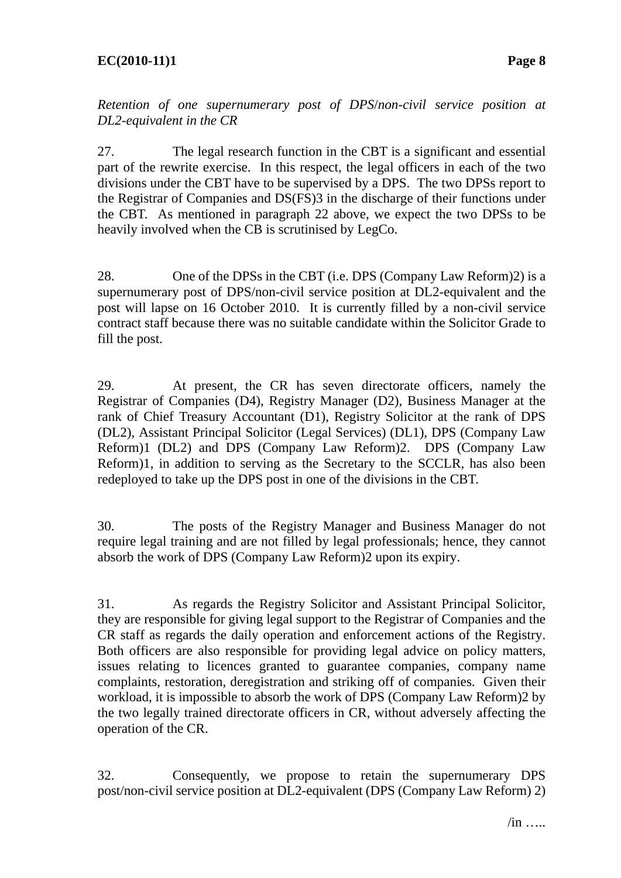*Retention of one supernumerary post of DPS*/*non-civil service position at DL2-equivalent in the CR* 

27. The legal research function in the CBT is a significant and essential part of the rewrite exercise. In this respect, the legal officers in each of the two divisions under the CBT have to be supervised by a DPS. The two DPSs report to the Registrar of Companies and DS(FS)3 in the discharge of their functions under the CBT. As mentioned in paragraph 22 above, we expect the two DPSs to be heavily involved when the CB is scrutinised by LegCo.

28. One of the DPSs in the CBT (i.e. DPS (Company Law Reform)2) is a supernumerary post of DPS/non-civil service position at DL2-equivalent and the post will lapse on 16 October 2010. It is currently filled by a non-civil service contract staff because there was no suitable candidate within the Solicitor Grade to fill the post.

29. At present, the CR has seven directorate officers, namely the Registrar of Companies (D4), Registry Manager (D2), Business Manager at the rank of Chief Treasury Accountant (D1), Registry Solicitor at the rank of DPS (DL2), Assistant Principal Solicitor (Legal Services) (DL1), DPS (Company Law Reform)1 (DL2) and DPS (Company Law Reform)2. DPS (Company Law Reform)1, in addition to serving as the Secretary to the SCCLR, has also been redeployed to take up the DPS post in one of the divisions in the CBT.

30. The posts of the Registry Manager and Business Manager do not require legal training and are not filled by legal professionals; hence, they cannot absorb the work of DPS (Company Law Reform)2 upon its expiry.

31. As regards the Registry Solicitor and Assistant Principal Solicitor, they are responsible for giving legal support to the Registrar of Companies and the CR staff as regards the daily operation and enforcement actions of the Registry. Both officers are also responsible for providing legal advice on policy matters, issues relating to licences granted to guarantee companies, company name complaints, restoration, deregistration and striking off of companies. Given their workload, it is impossible to absorb the work of DPS (Company Law Reform)2 by the two legally trained directorate officers in CR, without adversely affecting the operation of the CR.

32. Consequently, we propose to retain the supernumerary DPS post/non-civil service position at DL2-equivalent (DPS (Company Law Reform) 2)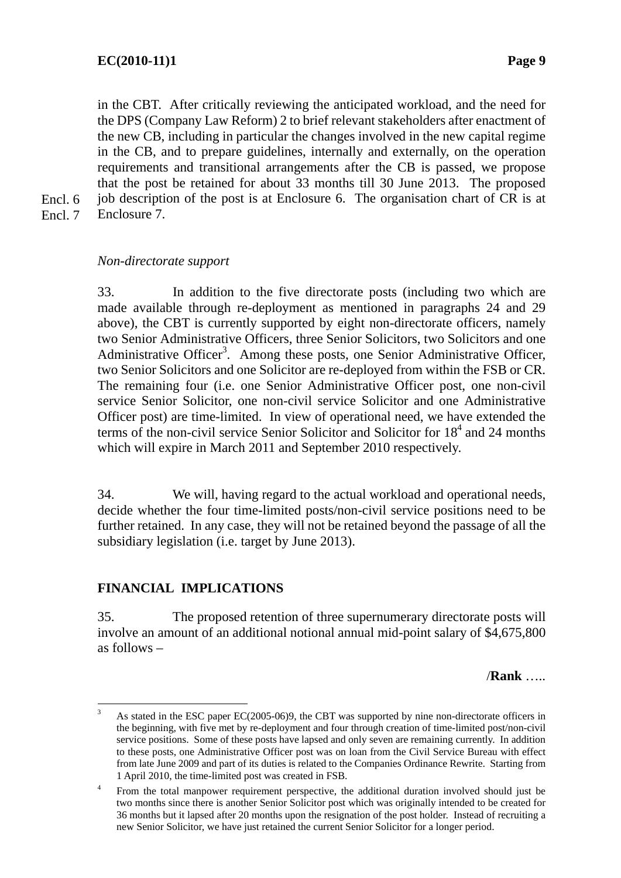in the CBT. After critically reviewing the anticipated workload, and the need for the DPS (Company Law Reform) 2 to brief relevant stakeholders after enactment of the new CB, including in particular the changes involved in the new capital regime in the CB, and to prepare guidelines, internally and externally, on the operation requirements and transitional arrangements after the CB is passed, we propose that the post be retained for about 33 months till 30 June 2013. The proposed job description of the post is at Enclosure 6. The organisation chart of CR is at

- Encl. 6
- Enclosure 7. Encl. 7

#### *Non-directorate support*

33. In addition to the five directorate posts (including two which are made available through re-deployment as mentioned in paragraphs 24 and 29 above), the CBT is currently supported by eight non-directorate officers, namely two Senior Administrative Officers, three Senior Solicitors, two Solicitors and one Administrative Officer<sup>3</sup>. Among these posts, one Senior Administrative Officer, two Senior Solicitors and one Solicitor are re-deployed from within the FSB or CR. The remaining four (i.e. one Senior Administrative Officer post, one non-civil service Senior Solicitor, one non-civil service Solicitor and one Administrative Officer post) are time-limited. In view of operational need, we have extended the terms of the non-civil service Senior Solicitor and Solicitor for 18<sup>4</sup> and 24 months which will expire in March 2011 and September 2010 respectively.

34. We will, having regard to the actual workload and operational needs, decide whether the four time-limited posts/non-civil service positions need to be further retained. In any case, they will not be retained beyond the passage of all the subsidiary legislation (i.e. target by June 2013).

### **FINANCIAL IMPLICATIONS**

35. The proposed retention of three supernumerary directorate posts will involve an amount of an additional notional annual mid-point salary of \$4,675,800 as follows –

/**Rank** …..

 3 As stated in the ESC paper EC(2005-06)9, the CBT was supported by nine non-directorate officers in the beginning, with five met by re-deployment and four through creation of time-limited post/non-civil service positions. Some of these posts have lapsed and only seven are remaining currently. In addition to these posts, one Administrative Officer post was on loan from the Civil Service Bureau with effect from late June 2009 and part of its duties is related to the Companies Ordinance Rewrite. Starting from 1 April 2010, the time-limited post was created in FSB.

<sup>4</sup> From the total manpower requirement perspective, the additional duration involved should just be two months since there is another Senior Solicitor post which was originally intended to be created for 36 months but it lapsed after 20 months upon the resignation of the post holder. Instead of recruiting a new Senior Solicitor, we have just retained the current Senior Solicitor for a longer period.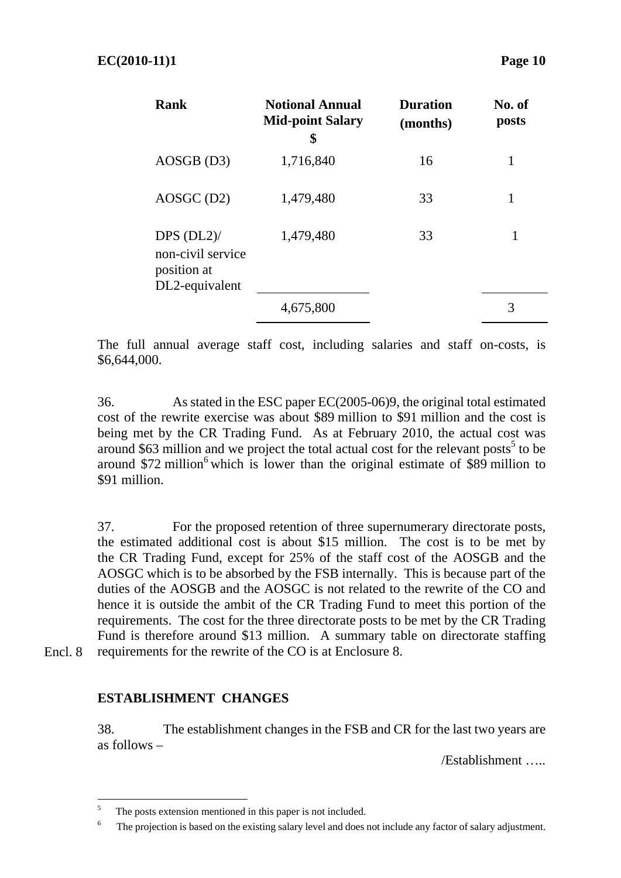| <b>Rank</b>                                                           | <b>Notional Annual</b><br><b>Mid-point Salary</b><br>\$ | <b>Duration</b><br>(months) | No. of<br>posts |
|-----------------------------------------------------------------------|---------------------------------------------------------|-----------------------------|-----------------|
| AOSGB (D3)                                                            | 1,716,840                                               | 16                          | 1               |
| $AOSGC$ (D2)                                                          | 1,479,480                                               | 33                          |                 |
| $DPS$ $(DL2)$ /<br>non-civil service<br>position at<br>DL2-equivalent | 1,479,480                                               | 33                          |                 |
|                                                                       | 4,675,800                                               |                             | 3               |

The full annual average staff cost, including salaries and staff on-costs, is \$6,644,000.

36. As stated in the ESC paper EC(2005-06)9, the original total estimated cost of the rewrite exercise was about \$89 million to \$91 million and the cost is being met by the CR Trading Fund. As at February 2010, the actual cost was around  $$63$  million and we project the total actual cost for the relevant posts<sup>5</sup> to be around  $$72$  million<sup>6</sup> which is lower than the original estimate of \$89 million to \$91 million.

37. For the proposed retention of three supernumerary directorate posts, the estimated additional cost is about \$15 million. The cost is to be met by the CR Trading Fund, except for 25% of the staff cost of the AOSGB and the AOSGC which is to be absorbed by the FSB internally. This is because part of the duties of the AOSGB and the AOSGC is not related to the rewrite of the CO and hence it is outside the ambit of the CR Trading Fund to meet this portion of the requirements. The cost for the three directorate posts to be met by the CR Trading Fund is therefore around \$13 million. A summary table on directorate staffing requirements for the rewrite of the CO is at Enclosure 8.

Encl. 8

### **ESTABLISHMENT CHANGES**

38. The establishment changes in the FSB and CR for the last two years are as follows –

/Establishment …..

 $\overline{a}$ 5 The posts extension mentioned in this paper is not included.

<sup>6</sup> The projection is based on the existing salary level and does not include any factor of salary adjustment.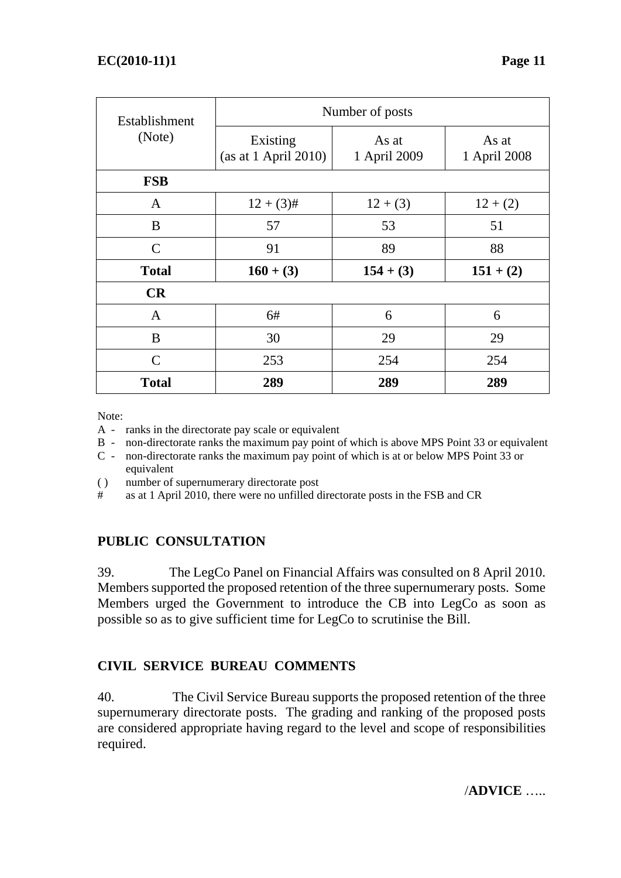| Establishment | Number of posts                  |                       |                        |  |  |  |
|---------------|----------------------------------|-----------------------|------------------------|--|--|--|
| (Note)        | Existing<br>(as at 1 April 2010) | As at<br>1 April 2009 | As at<br>1 April 2008  |  |  |  |
| <b>FSB</b>    |                                  |                       |                        |  |  |  |
| A             | $12 + (3)$ #                     | $12 + (3)$            | $12 + (2)$<br>51<br>88 |  |  |  |
| B             | 57                               | 53                    |                        |  |  |  |
| $\mathsf{C}$  | 91                               | 89                    |                        |  |  |  |
| <b>Total</b>  | $160 + (3)$                      | $154 + (3)$           | $151 + (2)$            |  |  |  |
| CR            |                                  |                       |                        |  |  |  |
| $\mathbf{A}$  | 6#                               | 6                     | 6                      |  |  |  |
| B             | 30                               | 29                    | 29                     |  |  |  |
| $\mathcal{C}$ | 253                              | 254                   | 254                    |  |  |  |
| <b>Total</b>  | 289                              | 289                   | 289                    |  |  |  |

Note:

- A ranks in the directorate pay scale or equivalent
- B non-directorate ranks the maximum pay point of which is above MPS Point 33 or equivalent
- C non-directorate ranks the maximum pay point of which is at or below MPS Point 33 or equivalent
- ( ) number of supernumerary directorate post
- # as at 1 April 2010, there were no unfilled directorate posts in the FSB and CR

### **PUBLIC CONSULTATION**

39. The LegCo Panel on Financial Affairs was consulted on 8 April 2010. Members supported the proposed retention of the three supernumerary posts. Some Members urged the Government to introduce the CB into LegCo as soon as possible so as to give sufficient time for LegCo to scrutinise the Bill.

### **CIVIL SERVICE BUREAU COMMENTS**

40. The Civil Service Bureau supports the proposed retention of the three supernumerary directorate posts. The grading and ranking of the proposed posts are considered appropriate having regard to the level and scope of responsibilities required.

/**ADVICE** …..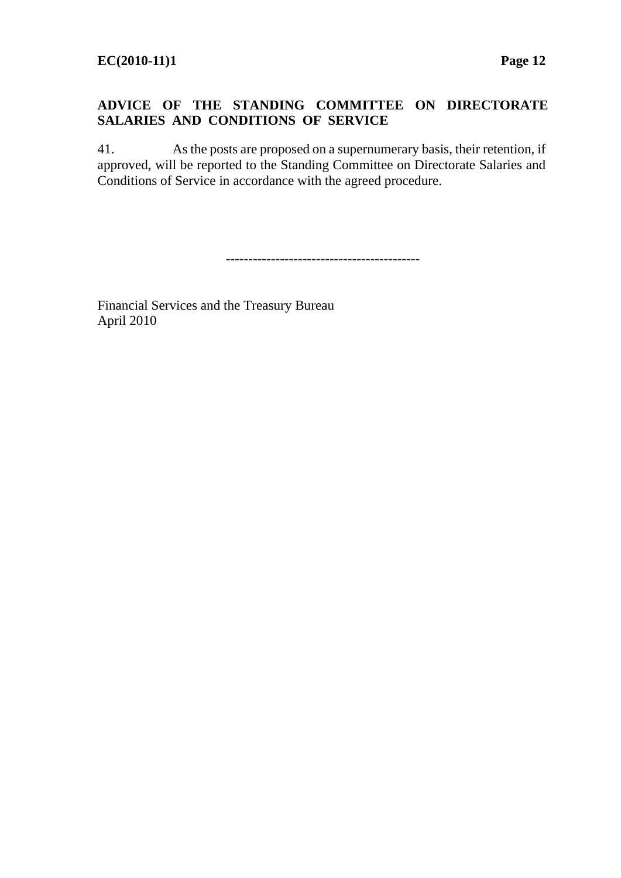### **ADVICE OF THE STANDING COMMITTEE ON DIRECTORATE SALARIES AND CONDITIONS OF SERVICE**

41. As the posts are proposed on a supernumerary basis, their retention, if approved, will be reported to the Standing Committee on Directorate Salaries and Conditions of Service in accordance with the agreed procedure.

-------------------------------------------

Financial Services and the Treasury Bureau April 2010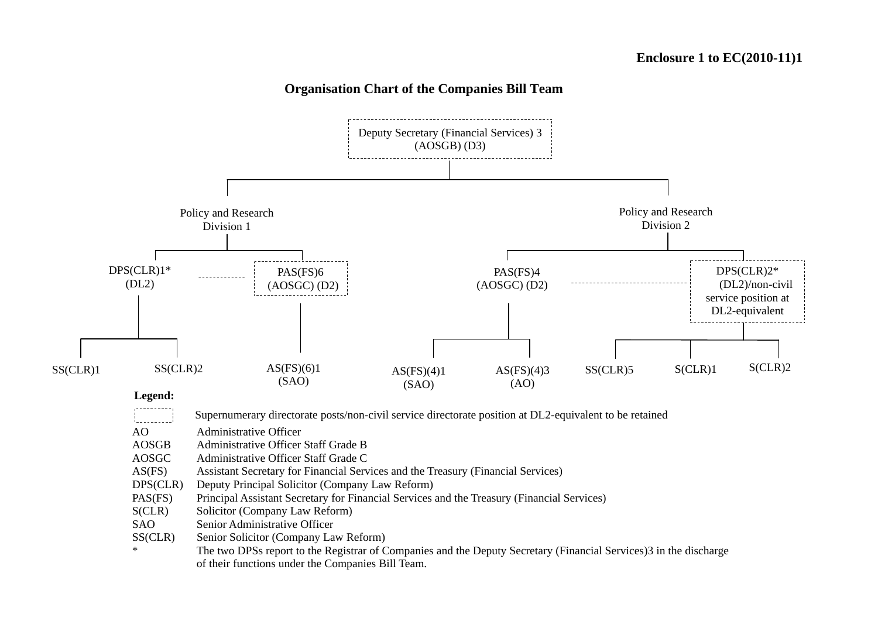#### **Organisation Chart of the Companies Bill Team**

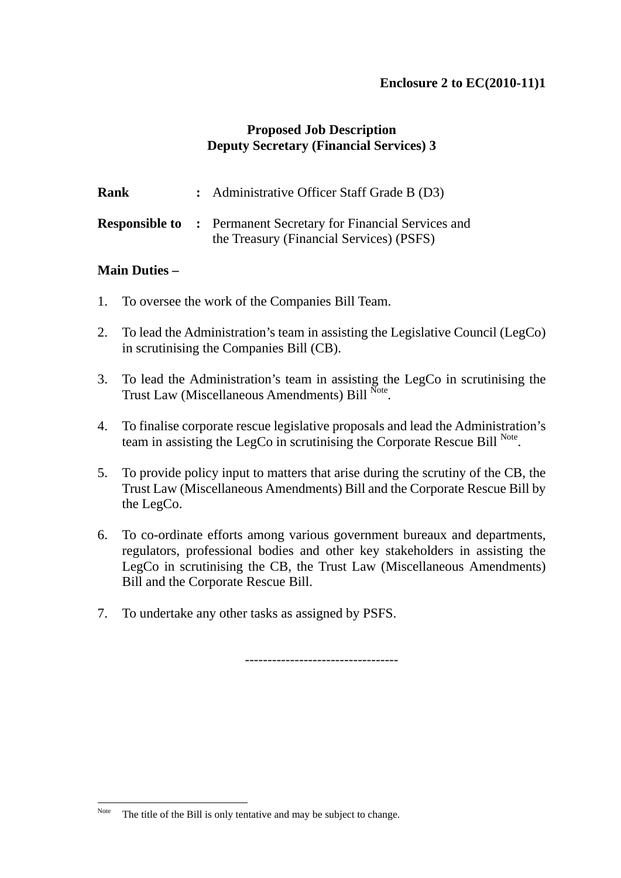### **Enclosure 2 to EC(2010-11)1**

### **Proposed Job Description Deputy Secretary (Financial Services) 3**

| Rank | : Administrative Officer Staff Grade B (D3)                                                                       |
|------|-------------------------------------------------------------------------------------------------------------------|
|      | <b>Responsible to: Permanent Secretary for Financial Services and</b><br>the Treasury (Financial Services) (PSFS) |

#### **Main Duties –**

 $\overline{a}$ 

- 1. To oversee the work of the Companies Bill Team.
- 2. To lead the Administration's team in assisting the Legislative Council (LegCo) in scrutinising the Companies Bill (CB).
- 3. To lead the Administration's team in assisting the LegCo in scrutinising the Trust Law (Miscellaneous Amendments) Bill Note.
- 4. To finalise corporate rescue legislative proposals and lead the Administration's team in assisting the LegCo in scrutinising the Corporate Rescue Bill Note.
- 5. To provide policy input to matters that arise during the scrutiny of the CB, the Trust Law (Miscellaneous Amendments) Bill and the Corporate Rescue Bill by the LegCo.
- 6. To co-ordinate efforts among various government bureaux and departments, regulators, professional bodies and other key stakeholders in assisting the LegCo in scrutinising the CB, the Trust Law (Miscellaneous Amendments) Bill and the Corporate Rescue Bill.
- 7. To undertake any other tasks as assigned by PSFS.

----------------------------------

Note The title of the Bill is only tentative and may be subject to change.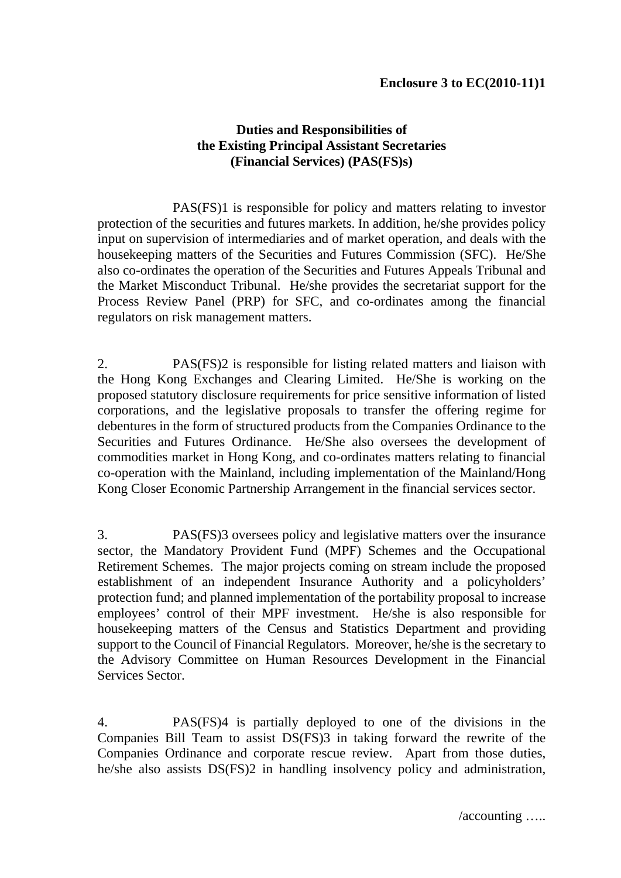### **Duties and Responsibilities of the Existing Principal Assistant Secretaries (Financial Services) (PAS(FS)s)**

 PAS(FS)1 is responsible for policy and matters relating to investor protection of the securities and futures markets. In addition, he/she provides policy input on supervision of intermediaries and of market operation, and deals with the housekeeping matters of the Securities and Futures Commission (SFC). He/She also co-ordinates the operation of the Securities and Futures Appeals Tribunal and the Market Misconduct Tribunal. He/she provides the secretariat support for the Process Review Panel (PRP) for SFC, and co-ordinates among the financial regulators on risk management matters.

2. PAS(FS)2 is responsible for listing related matters and liaison with the Hong Kong Exchanges and Clearing Limited. He/She is working on the proposed statutory disclosure requirements for price sensitive information of listed corporations, and the legislative proposals to transfer the offering regime for debentures in the form of structured products from the Companies Ordinance to the Securities and Futures Ordinance. He/She also oversees the development of commodities market in Hong Kong, and co-ordinates matters relating to financial co-operation with the Mainland, including implementation of the Mainland/Hong Kong Closer Economic Partnership Arrangement in the financial services sector.

3. PAS(FS)3 oversees policy and legislative matters over the insurance sector, the Mandatory Provident Fund (MPF) Schemes and the Occupational Retirement Schemes. The major projects coming on stream include the proposed establishment of an independent Insurance Authority and a policyholders' protection fund; and planned implementation of the portability proposal to increase employees' control of their MPF investment. He/she is also responsible for housekeeping matters of the Census and Statistics Department and providing support to the Council of Financial Regulators. Moreover, he/she is the secretary to the Advisory Committee on Human Resources Development in the Financial Services Sector.

4. PAS(FS)4 is partially deployed to one of the divisions in the Companies Bill Team to assist DS(FS)3 in taking forward the rewrite of the Companies Ordinance and corporate rescue review. Apart from those duties, he/she also assists DS(FS)2 in handling insolvency policy and administration,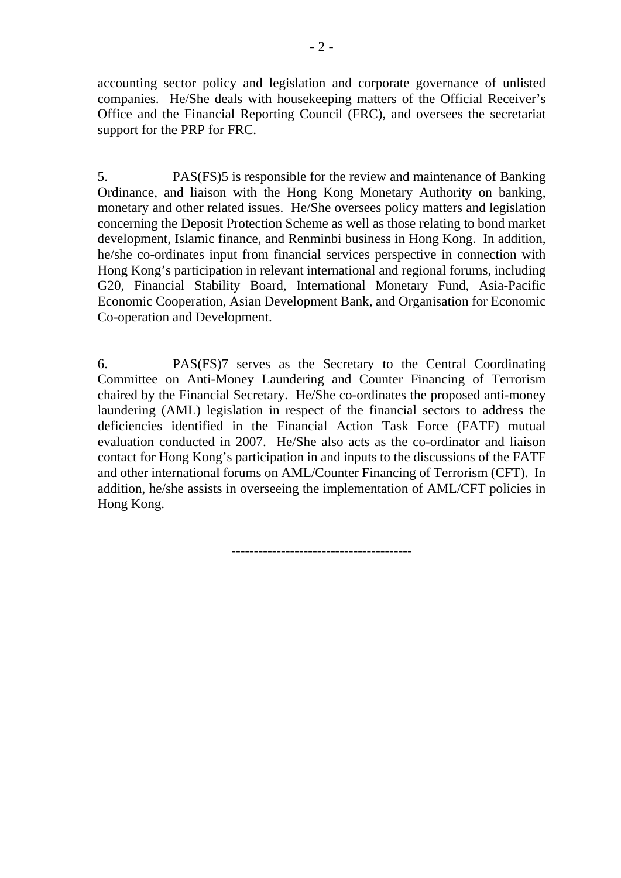accounting sector policy and legislation and corporate governance of unlisted companies. He/She deals with housekeeping matters of the Official Receiver's Office and the Financial Reporting Council (FRC), and oversees the secretariat support for the PRP for FRC.

5. PAS(FS)5 is responsible for the review and maintenance of Banking Ordinance, and liaison with the Hong Kong Monetary Authority on banking, monetary and other related issues. He/She oversees policy matters and legislation concerning the Deposit Protection Scheme as well as those relating to bond market development, Islamic finance, and Renminbi business in Hong Kong. In addition, he/she co-ordinates input from financial services perspective in connection with Hong Kong's participation in relevant international and regional forums, including G20, Financial Stability Board, International Monetary Fund, Asia-Pacific Economic Cooperation, Asian Development Bank, and Organisation for Economic Co-operation and Development.

6. PAS(FS)7 serves as the Secretary to the Central Coordinating Committee on Anti-Money Laundering and Counter Financing of Terrorism chaired by the Financial Secretary. He/She co-ordinates the proposed anti-money laundering (AML) legislation in respect of the financial sectors to address the deficiencies identified in the Financial Action Task Force (FATF) mutual evaluation conducted in 2007. He/She also acts as the co-ordinator and liaison contact for Hong Kong's participation in and inputs to the discussions of the FATF and other international forums on AML/Counter Financing of Terrorism (CFT). In addition, he/she assists in overseeing the implementation of AML/CFT policies in Hong Kong.

----------------------------------------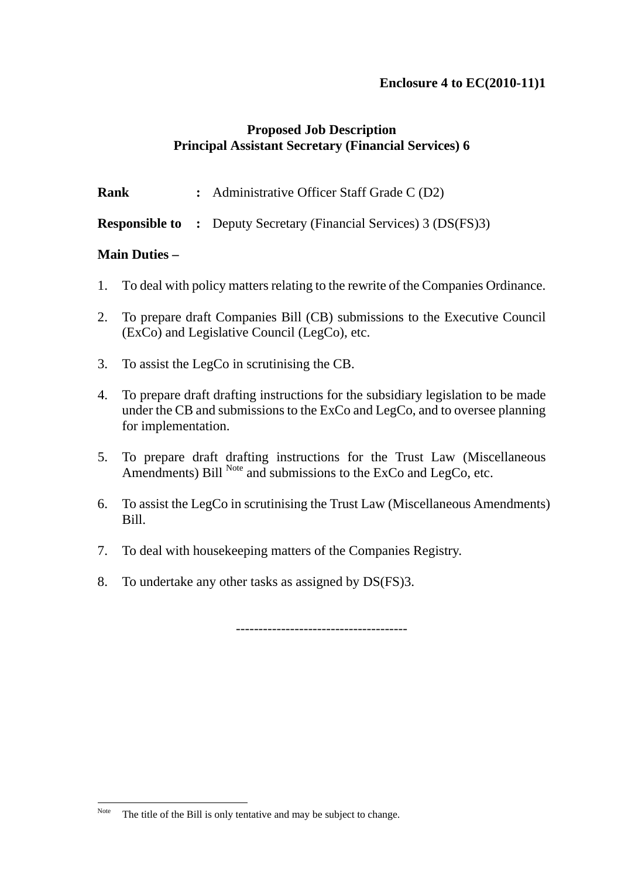### **Enclosure 4 to EC(2010-11)1**

### **Proposed Job Description Principal Assistant Secretary (Financial Services) 6**

**Rank** : Administrative Officer Staff Grade C (D2)

**Responsible to :** Deputy Secretary (Financial Services) 3 (DS(FS)3)

### **Main Duties –**

- 1. To deal with policy matters relating to the rewrite of the Companies Ordinance.
- 2. To prepare draft Companies Bill (CB) submissions to the Executive Council (ExCo) and Legislative Council (LegCo), etc.
- 3. To assist the LegCo in scrutinising the CB.
- 4. To prepare draft drafting instructions for the subsidiary legislation to be made under the CB and submissions to the ExCo and LegCo, and to oversee planning for implementation.
- 5. To prepare draft drafting instructions for the Trust Law (Miscellaneous Amendments) Bill  $^{Note}$  and submissions to the ExCo and LegCo, etc.
- 6. To assist the LegCo in scrutinising the Trust Law (Miscellaneous Amendments) Bill.
- 7. To deal with housekeeping matters of the Companies Registry.
- 8. To undertake any other tasks as assigned by DS(FS)3.

--------------------------------------

Note The title of the Bill is only tentative and may be subject to change.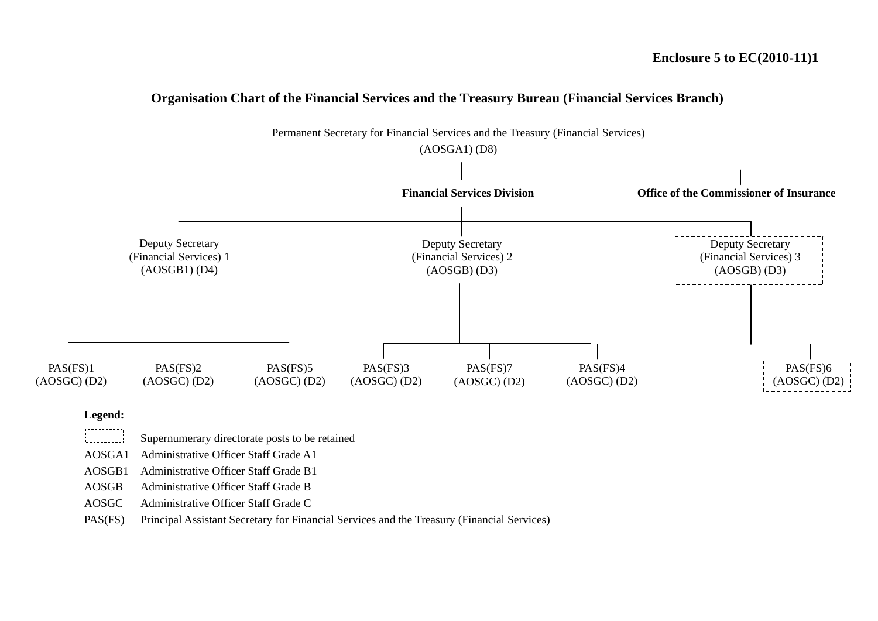#### **Organisation Chart of the Financial Services and the Treasury Bureau (Financial Services Branch)**



#### **Legend:** , . . . . . . . . . .

Supernumerary directorate posts to be retained 

AOSGA1 Administrative Officer Staff Grade A1

AOSGB1 Administrative Officer Staff Grade B1

AOSGB Administrative Officer Staff Grade B

AOSGC Administrative Officer Staff Grade C

PAS(FS) Principal Assistant Secretary for Financial Services and the Treasury (Financial Services)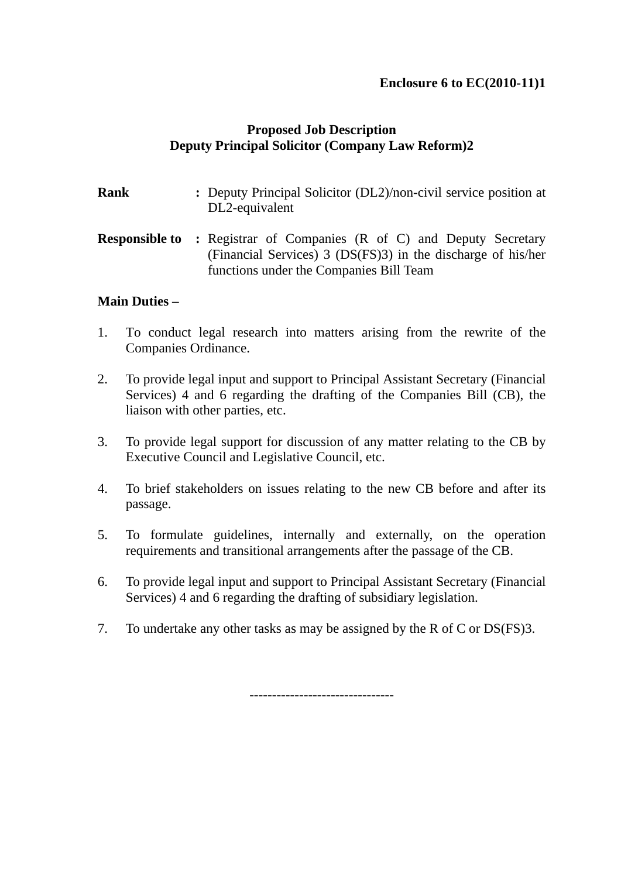### **Enclosure 6 to EC(2010-11)1**

### **Proposed Job Description Deputy Principal Solicitor (Company Law Reform)2**

| <b>Rank</b> | : Deputy Principal Solicitor (DL2)/non-civil service position at<br>DL2-equivalent                                                                     |
|-------------|--------------------------------------------------------------------------------------------------------------------------------------------------------|
|             | <b>Responsible to: Registrar of Companies (R of C) and Deputy Secretary</b><br>(Financial Services) $3 \text{ (DS(FS)}3$ ) in the discharge of his/her |

functions under the Companies Bill Team

### **Main Duties –**

- 1. To conduct legal research into matters arising from the rewrite of the Companies Ordinance.
- 2. To provide legal input and support to Principal Assistant Secretary (Financial Services) 4 and 6 regarding the drafting of the Companies Bill (CB), the liaison with other parties, etc.
- 3. To provide legal support for discussion of any matter relating to the CB by Executive Council and Legislative Council, etc.
- 4. To brief stakeholders on issues relating to the new CB before and after its passage.
- 5. To formulate guidelines, internally and externally, on the operation requirements and transitional arrangements after the passage of the CB.
- 6. To provide legal input and support to Principal Assistant Secretary (Financial Services) 4 and 6 regarding the drafting of subsidiary legislation.
- 7. To undertake any other tasks as may be assigned by the R of C or DS(FS)3.

--------------------------------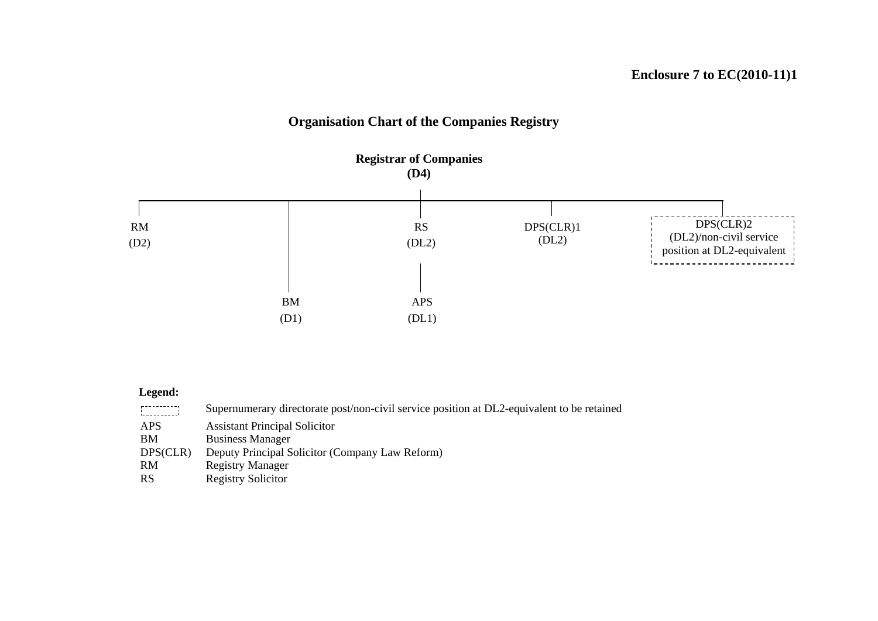## **Organisation Chart of the Companies Registry**



#### **Legend:**

| .        | Supernumerary directorate post/non-civil service position at DL2-equivalent to be retained |
|----------|--------------------------------------------------------------------------------------------|
| APS.     | <b>Assistant Principal Solicitor</b>                                                       |
| BM.      | <b>Business Manager</b>                                                                    |
| DPS(CLR) | Deputy Principal Solicitor (Company Law Reform)                                            |
| RM.      | <b>Registry Manager</b>                                                                    |
| RS       | <b>Registry Solicitor</b>                                                                  |
|          |                                                                                            |